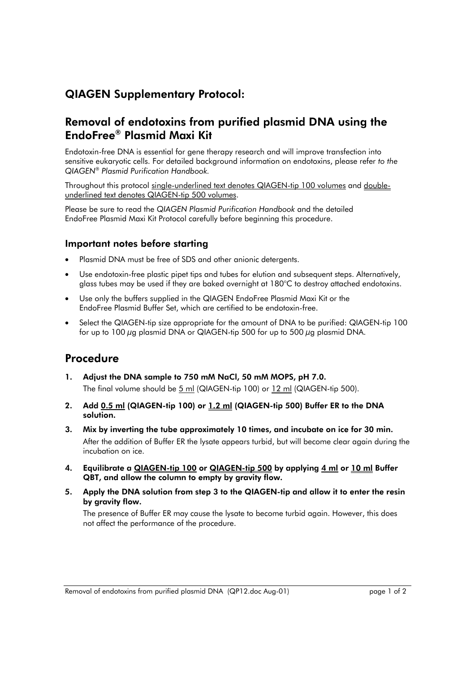## QIAGEN Supplementary Protocol:

## Removal of endotoxins from purified plasmid DNA using the EndoFree® Plasmid Maxi Kit

Endotoxin-free DNA is essential for gene therapy research and will improve transfection into sensitive eukaryotic cells. For detailed background information on endotoxins, please refer *to the QIAGEN*<sup>Æ</sup> *Plasmid Purification Handbook.*

Throughout this protocol single-underlined text denotes QIAGEN-tip 100 volumes and doubleunderlined text denotes QIAGEN-tip 500 volumes.

Please be sure to read the *QIAGEN Plasmid Purification Handbook* and the detailed EndoFree Plasmid Maxi Kit Protocol carefully before beginning this procedure.

## Important notes before starting

- Plasmid DNA must be free of SDS and other anionic detergents.
- Use endotoxin-free plastic pipet tips and tubes for elution and subsequent steps. Alternatively, glass tubes may be used if they are baked overnight at 180°C to destroy attached endotoxins.
- Use only the buffers supplied in the QIAGEN EndoFree Plasmid Maxi Kit or the EndoFree Plasmid Buffer Set, which are certified to be endotoxin-free.
- Select the QIAGEN-tip size appropriate for the amount of DNA to be purified: QIAGEN-tip 100 for up to 100  $\mu$ g plasmid DNA or QIAGEN-tip 500 for up to 500  $\mu$ g plasmid DNA.

## Procedure

- 1. Adjust the DNA sample to 750 mM NaCl, 50 mM MOPS, pH 7.0. The final volume should be  $5$  ml (QIAGEN-tip 100) or  $12$  ml (QIAGEN-tip 500).
- 2. Add  $0.5$  ml (QIAGEN-tip 100) or  $1.2$  ml (QIAGEN-tip 500) Buffer ER to the DNA solution.
- 3. Mix by inverting the tube approximately 10 times, and incubate on ice for 30 min. After the addition of Buffer ER the lysate appears turbid, but will become clear again during the incubation on ice.
- 4. Equilibrate a QIAGEN-tip 100 or QIAGEN-tip 500 by applying 4 ml or 10 ml Buffer QBT, and allow the column to empty by gravity flow.
- 5. Apply the DNA solution from step 3 to the QIAGEN-tip and allow it to enter the resin by gravity flow.

 The presence of Buffer ER may cause the lysate to become turbid again. However, this does not affect the performance of the procedure.